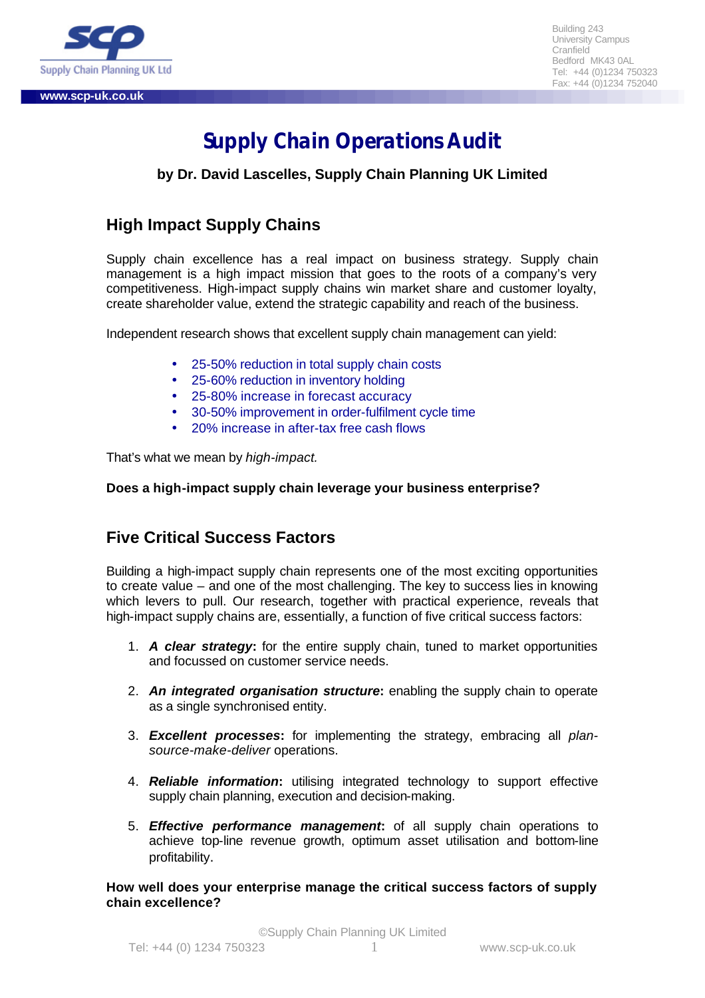

Building 243 University Campus Cranfield Bedford MK43 0AL Tel: +44 (0)1234 750323 Fax: +44 (0)1234 752040

# **Supply Chain Operations Audit**

**by Dr. David Lascelles, Supply Chain Planning UK Limited**

## **High Impact Supply Chains**

Supply chain excellence has a real impact on business strategy. Supply chain management is a high impact mission that goes to the roots of a company's very competitiveness. High-impact supply chains win market share and customer loyalty, create shareholder value, extend the strategic capability and reach of the business.

Independent research shows that excellent supply chain management can yield:

- 25-50% reduction in total supply chain costs
- 25-60% reduction in inventory holding
- 25-80% increase in forecast accuracy
- 30-50% improvement in order-fulfilment cycle time
- 20% increase in after-tax free cash flows

That's what we mean by *high-impact.*

#### **Does a high-impact supply chain leverage your business enterprise?**

### **Five Critical Success Factors**

Building a high-impact supply chain represents one of the most exciting opportunities to create value – and one of the most challenging. The key to success lies in knowing which levers to pull. Our research, together with practical experience, reveals that high-impact supply chains are, essentially, a function of five critical success factors:

- 1. *A clear strategy***:** for the entire supply chain, tuned to market opportunities and focussed on customer service needs.
- 2. *An integrated organisation structure***:** enabling the supply chain to operate as a single synchronised entity.
- 3. *Excellent processes***:** for implementing the strategy, embracing all *plansource-make-deliver* operations.
- 4. *Reliable information***:** utilising integrated technology to support effective supply chain planning, execution and decision-making.
- 5. *Effective performance management***:** of all supply chain operations to achieve top-line revenue growth, optimum asset utilisation and bottom-line profitability.

**How well does your enterprise manage the critical success factors of supply chain excellence?**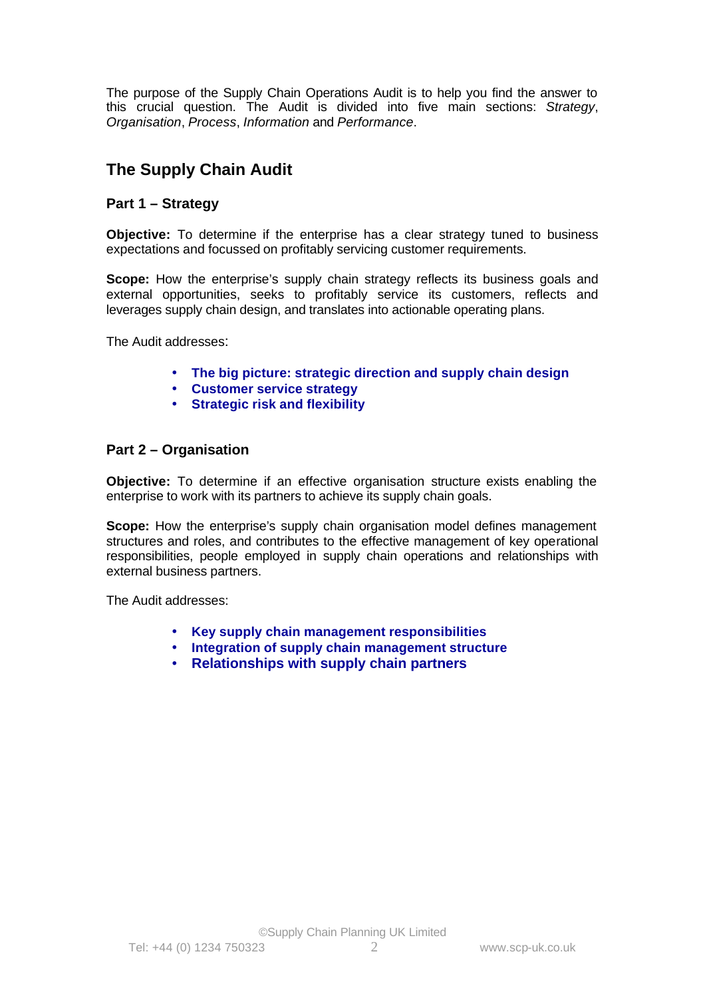The purpose of the Supply Chain Operations Audit is to help you find the answer to this crucial question. The Audit is divided into five main sections: *Strategy*, *Organisation*, *Process*, *Information* and *Performance*.

## **The Supply Chain Audit**

#### **Part 1 – Strategy**

**Objective:** To determine if the enterprise has a clear strategy tuned to business expectations and focussed on profitably servicing customer requirements.

**Scope:** How the enterprise's supply chain strategy reflects its business goals and external opportunities, seeks to profitably service its customers, reflects and leverages supply chain design, and translates into actionable operating plans.

The Audit addresses:

- **The big picture: strategic direction and supply chain design**
- **Customer service strategy**
- **Strategic risk and flexibility**

#### **Part 2 – Organisation**

**Objective:** To determine if an effective organisation structure exists enabling the enterprise to work with its partners to achieve its supply chain goals.

**Scope:** How the enterprise's supply chain organisation model defines management structures and roles, and contributes to the effective management of key operational responsibilities, people employed in supply chain operations and relationships with external business partners.

The Audit addresses:

- **Key supply chain management responsibilities**
- **Integration of supply chain management structure**
- **Relationships with supply chain partners**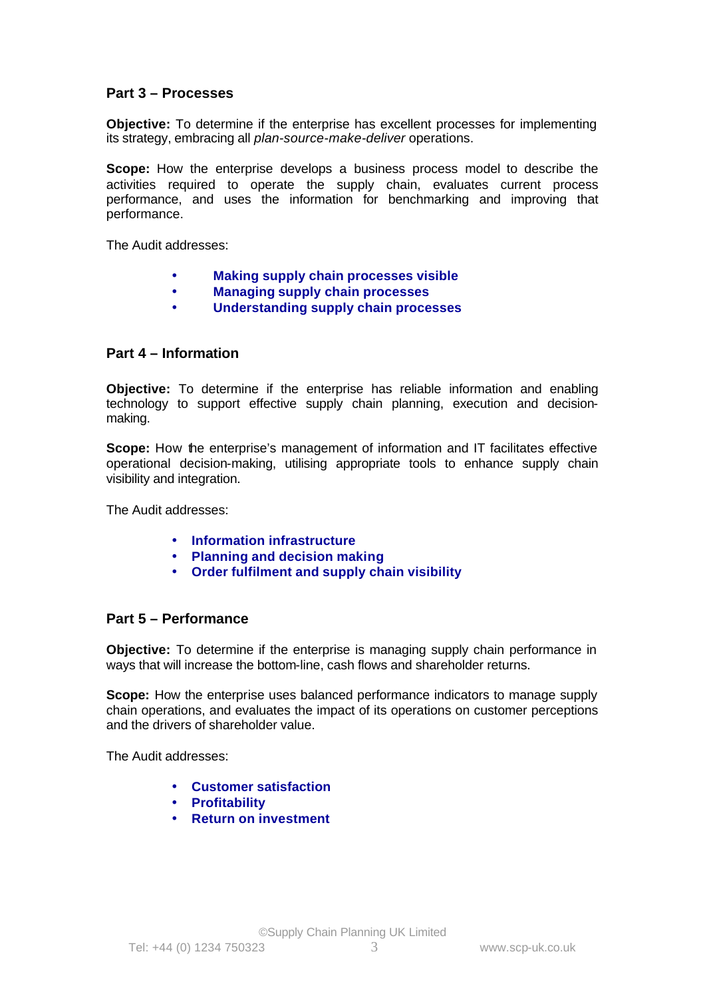#### **Part 3 – Processes**

**Objective:** To determine if the enterprise has excellent processes for implementing its strategy, embracing all *plan-source-make-deliver* operations.

**Scope:** How the enterprise develops a business process model to describe the activities required to operate the supply chain, evaluates current process performance, and uses the information for benchmarking and improving that performance.

The Audit addresses:

- **Making supply chain processes visible**
- **Managing supply chain processes**
- **Understanding supply chain processes**

#### **Part 4 – Information**

**Objective:** To determine if the enterprise has reliable information and enabling technology to support effective supply chain planning, execution and decisionmaking.

**Scope:** How the enterprise's management of information and IT facilitates effective operational decision-making, utilising appropriate tools to enhance supply chain visibility and integration.

The Audit addresses:

- **Information infrastructure**
- **Planning and decision making**
- **Order fulfilment and supply chain visibility**

#### **Part 5 – Performance**

**Objective:** To determine if the enterprise is managing supply chain performance in ways that will increase the bottom-line, cash flows and shareholder returns.

**Scope:** How the enterprise uses balanced performance indicators to manage supply chain operations, and evaluates the impact of its operations on customer perceptions and the drivers of shareholder value.

The Audit addresses:

- **Customer satisfaction**
- **Profitability**
- **Return on investment**